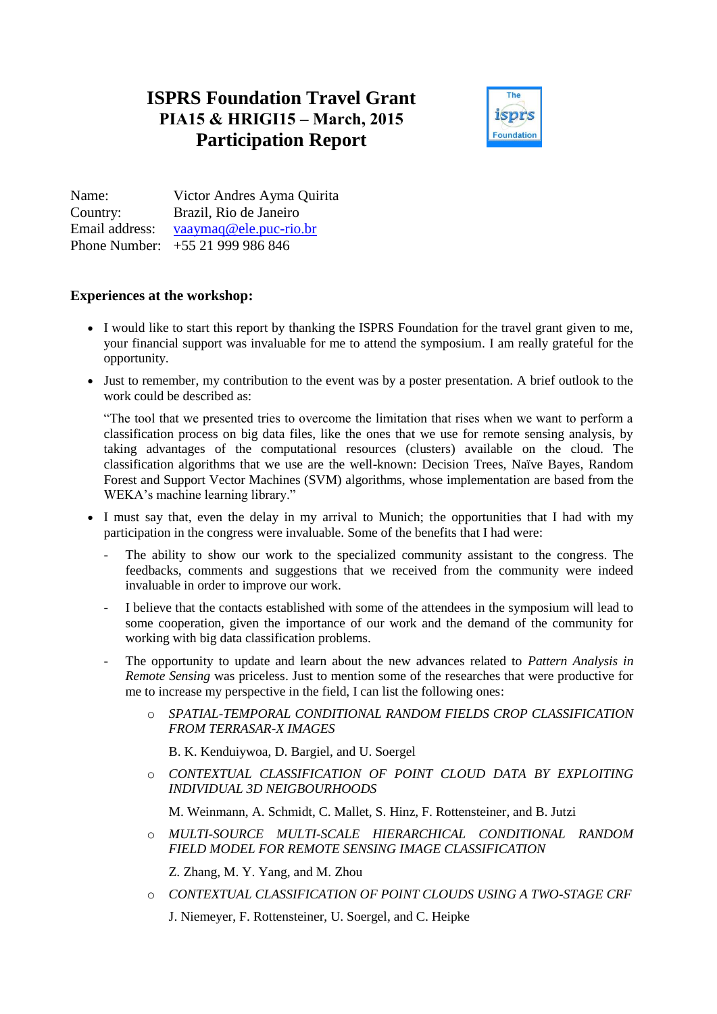## **ISPRS Foundation Travel Grant PIA15 & HRIGI15 – March, 2015 Participation Report**



Name: Victor Andres Ayma Quirita Country: Brazil, Rio de Janeiro Email address: [vaaymaq@ele.puc-rio.br](mailto:vaaymaq@ele.puc-rio.br) Phone Number: +55 21 999 986 846

## **Experiences at the workshop:**

- I would like to start this report by thanking the ISPRS Foundation for the travel grant given to me, your financial support was invaluable for me to attend the symposium. I am really grateful for the opportunity.
- Just to remember, my contribution to the event was by a poster presentation. A brief outlook to the work could be described as:

"The tool that we presented tries to overcome the limitation that rises when we want to perform a classification process on big data files, like the ones that we use for remote sensing analysis, by taking advantages of the computational resources (clusters) available on the cloud. The classification algorithms that we use are the well-known: Decision Trees, Naïve Bayes, Random Forest and Support Vector Machines (SVM) algorithms, whose implementation are based from the WEKA's machine learning library."

- I must say that, even the delay in my arrival to Munich; the opportunities that I had with my participation in the congress were invaluable. Some of the benefits that I had were:
	- The ability to show our work to the specialized community assistant to the congress. The feedbacks, comments and suggestions that we received from the community were indeed invaluable in order to improve our work.
	- I believe that the contacts established with some of the attendees in the symposium will lead to some cooperation, given the importance of our work and the demand of the community for working with big data classification problems.
	- The opportunity to update and learn about the new advances related to *Pattern Analysis in Remote Sensing* was priceless. Just to mention some of the researches that were productive for me to increase my perspective in the field, I can list the following ones:
		- o *SPATIAL-TEMPORAL CONDITIONAL RANDOM FIELDS CROP CLASSIFICATION FROM TERRASAR-X IMAGES*

B. K. Kenduiywoa, D. Bargiel, and U. Soergel

o *CONTEXTUAL CLASSIFICATION OF POINT CLOUD DATA BY EXPLOITING INDIVIDUAL 3D NEIGBOURHOODS* 

M. Weinmann, A. Schmidt, C. Mallet, S. Hinz, F. Rottensteiner, and B. Jutzi

o *MULTI-SOURCE MULTI-SCALE HIERARCHICAL CONDITIONAL RANDOM FIELD MODEL FOR REMOTE SENSING IMAGE CLASSIFICATION* 

Z. Zhang, M. Y. Yang, and M. Zhou

o *CONTEXTUAL CLASSIFICATION OF POINT CLOUDS USING A TWO-STAGE CRF*  J. Niemeyer, F. Rottensteiner, U. Soergel, and C. Heipke